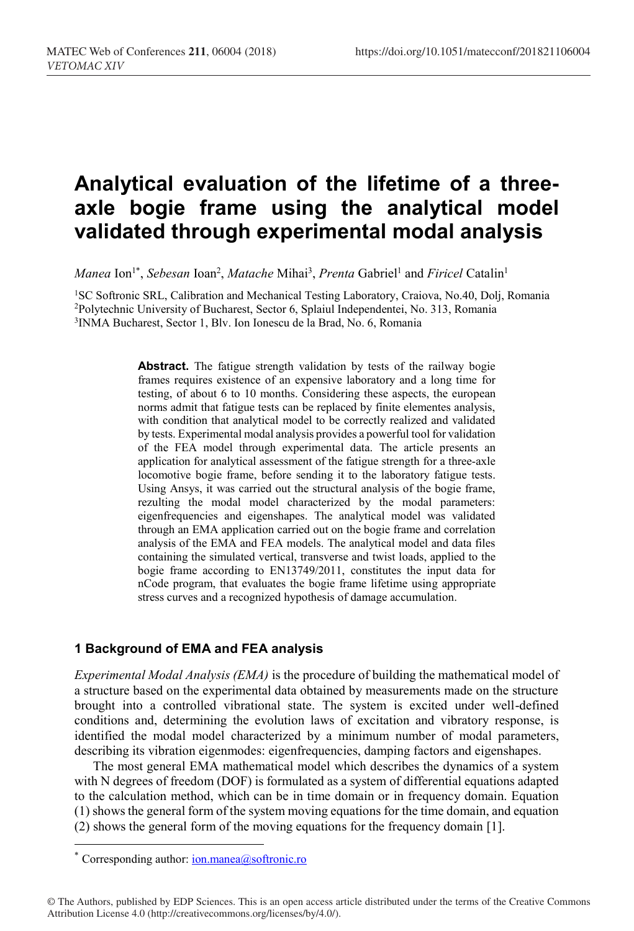# **Analytical evaluation of the lifetime of a threeaxle bogie frame using the analytical model validated through experimental modal analysis**

*Manea* Ion<sup>1\*</sup>, *Sebesan* Ioan<sup>2</sup>, *Matache* Mihai<sup>3</sup>, *Prenta* Gabriel<sup>1</sup> and *Firicel* Catalin<sup>1</sup>

<sup>1</sup>SC Softronic SRL, Calibration and Mechanical Testing Laboratory, Craiova, No.40, Dolj, Romania 2Polytechnic University of Bucharest, Sector 6, Splaiul Independentei, No. 313, Romania 3INMA Bucharest, Sector 1, Blv. Ion Ionescu de la Brad, No. 6, Romania

> Abstract. The fatigue strength validation by tests of the railway bogie frames requires existence of an expensive laboratory and a long time for testing, of about 6 to 10 months. Considering these aspects, the european norms admit that fatigue tests can be replaced by finite elementes analysis, with condition that analytical model to be correctly realized and validated by tests. Experimental modal analysis provides a powerful tool for validation of the FEA model through experimental data. The article presents an application for analytical assessment of the fatigue strength for a three-axle locomotive bogie frame, before sending it to the laboratory fatigue tests. Using Ansys, it was carried out the structural analysis of the bogie frame, rezulting the modal model characterized by the modal parameters: eigenfrequencies and eigenshapes. The analytical model was validated through an EMA application carried out on the bogie frame and correlation analysis of the EMA and FEA models. The analytical model and data files containing the simulated vertical, transverse and twist loads, applied to the bogie frame according to EN13749/2011, constitutes the input data for nCode program, that evaluates the bogie frame lifetime using appropriate stress curves and a recognized hypothesis of damage accumulation.

### **1 Background of EMA and FEA analysis**

*Experimental Modal Analysis (EMA)* is the procedure of building the mathematical model of a structure based on the experimental data obtained by measurements made on the structure brought into a controlled vibrational state. The system is excited under well-defined conditions and, determining the evolution laws of excitation and vibratory response, is identified the modal model characterized by a minimum number of modal parameters, describing its vibration eigenmodes: eigenfrequencies, damping factors and eigenshapes.

The most general EMA mathematical model which describes the dynamics of a system with N degrees of freedom (DOF) is formulated as a system of differential equations adapted to the calculation method, which can be in time domain or in frequency domain. Equation (1) shows the general form of the system moving equations for the time domain, and equation (2) shows the general form of the moving equations for the frequency domain [1].

 $\overline{a}$ 

<sup>\*</sup> Corresponding author: ion.manea@softronic.ro

<sup>©</sup> The Authors, published by EDP Sciences. This is an open access article distributed under the terms of the Creative Commons Attribution License 4.0 (http://creativecommons.org/licenses/by/4.0/).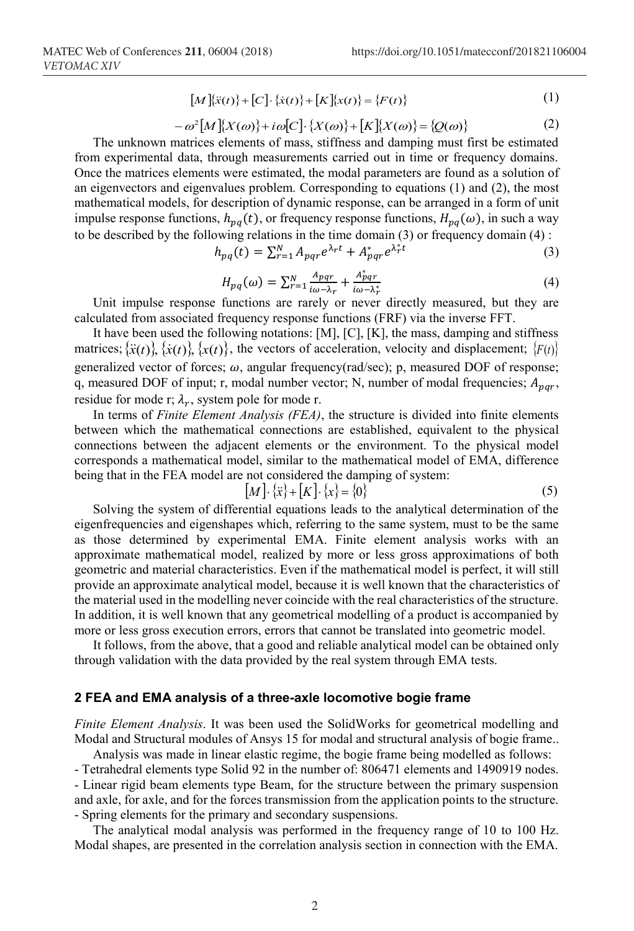$$
[M]\{\ddot{x}(t)\} + [C] \cdot {\dot{x}(t)} + [K]\{x(t)\} = {F(t)}
$$
\n(1)

$$
-\omega^{2}[M][X(\omega)] + i\omega[C] \cdot \{X(\omega)\} + [K][X(\omega)] = \{Q(\omega)\}\tag{2}
$$

The unknown matrices elements of mass, stiffness and damping must first be estimated from experimental data, through measurements carried out in time or frequency domains. Once the matrices elements were estimated, the modal parameters are found as a solution of an eigenvectors and eigenvalues problem. Corresponding to equations (1) and (2), the most mathematical models, for description of dynamic response, can be arranged in a form of unit impulse response functions,  $h_{pq}(t)$ , or frequency response functions,  $H_{pq}(\omega)$ , in such a way to be described by the following relations in the time domain (3) or frequency domain (4) :

$$
h_{pq}(t) = \sum_{r=1}^{N} A_{pqr} e^{\lambda_r t} + A_{pqr}^* e^{\lambda_r^* t} \tag{3}
$$

$$
H_{pq}(\omega) = \sum_{r=1}^{N} \frac{A_{pqr}}{i\omega - \lambda_r} + \frac{A_{pqr}^{*}}{i\omega - \lambda_r^{*}}
$$
(4)

Unit impulse response functions are rarely or never directly measured, but they are calculated from associated frequency response functions (FRF) via the inverse FFT.

It have been used the following notations:  $[M]$ ,  $[C]$ ,  $[K]$ , the mass, damping and stiffness matrices;  $\{\ddot{x}(t)\}\$ ,  $\{\dot{x}(t)\}$ ,  $\{x(t)\}$ , the vectors of acceleration, velocity and displacement;  $\{F(t)\}$ generalized vector of forces;  $\omega$ , angular frequency(rad/sec); p, measured DOF of response; q, measured DOF of input; r, modal number vector; N, number of modal frequencies;  $A_{nqr}$ , residue for mode r;  $\lambda_r$ , system pole for mode r.

In terms of *Finite Element Analysis (FEA)*, the structure is divided into finite elements between which the mathematical connections are established, equivalent to the physical connections between the adjacent elements or the environment. To the physical model corresponds a mathematical model, similar to the mathematical model of EMA, difference being that in the FEA model are not considered the damping of system:

$$
[M] \cdot \{\ddot{x}\} + [K] \cdot \{x\} = \{0\}
$$
 (5)

Solving the system of differential equations leads to the analytical determination of the eigenfrequencies and eigenshapes which, referring to the same system, must to be the same as those determined by experimental EMA. Finite element analysis works with an approximate mathematical model, realized by more or less gross approximations of both geometric and material characteristics. Even if the mathematical model is perfect, it will still provide an approximate analytical model, because it is well known that the characteristics of the material used in the modelling never coincide with the real characteristics of the structure. In addition, it is well known that any geometrical modelling of a product is accompanied by more or less gross execution errors, errors that cannot be translated into geometric model.

It follows, from the above, that a good and reliable analytical model can be obtained only through validation with the data provided by the real system through EMA tests.

#### **2 FEA and EMA analysis of a three-axle locomotive bogie frame**

*Finite Element Analysis*. It was been used the SolidWorks for geometrical modelling and Modal and Structural modules of Ansys 15 for modal and structural analysis of bogie frame..

Analysis was made in linear elastic regime, the bogie frame being modelled as follows:

- Tetrahedral elements type Solid 92 in the number of: 806471 elements and 1490919 nodes. - Linear rigid beam elements type Beam, for the structure between the primary suspension and axle, for axle, and for the forces transmission from the application points to the structure. - Spring elements for the primary and secondary suspensions.

The analytical modal analysis was performed in the frequency range of 10 to 100 Hz. Modal shapes, are presented in the correlation analysis section in connection with the EMA.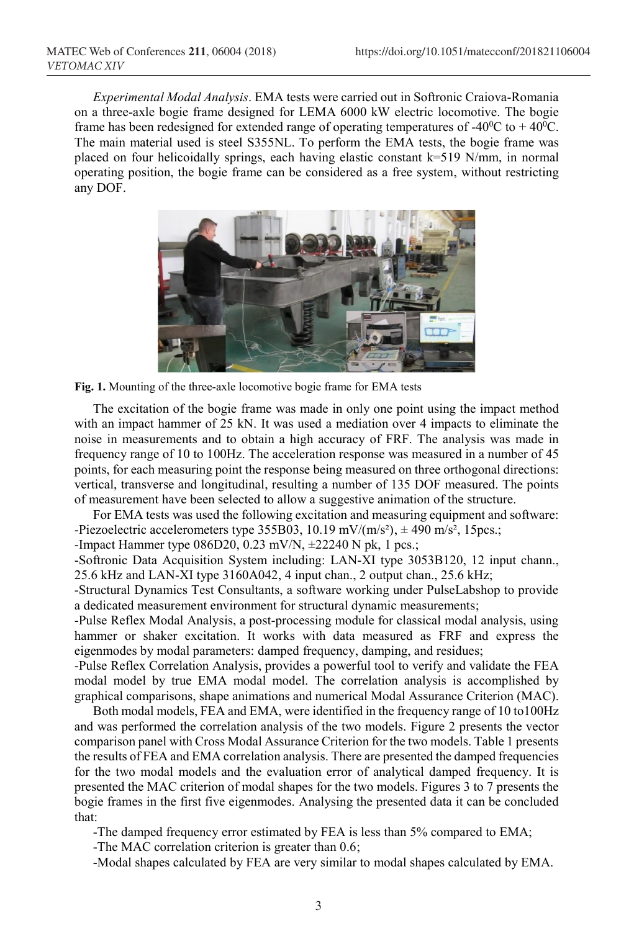*Experimental Modal Analysis*. EMA tests were carried out in Softronic Craiova-Romania on a three-axle bogie frame designed for LEMA 6000 kW electric locomotive. The bogie frame has been redesigned for extended range of operating temperatures of -40<sup>o</sup>C to +40<sup>o</sup>C. The main material used is steel S355NL. To perform the EMA tests, the bogie frame was placed on four helicoidally springs, each having elastic constant k=519 N/mm, in normal operating position, the bogie frame can be considered as a free system, without restricting any DOF.



**Fig. 1.** Mounting of the three-axle locomotive bogie frame for EMA tests

The excitation of the bogie frame was made in only one point using the impact method with an impact hammer of 25 kN. It was used a mediation over 4 impacts to eliminate the noise in measurements and to obtain a high accuracy of FRF. The analysis was made in frequency range of 10 to 100Hz. The acceleration response was measured in a number of 45 points, for each measuring point the response being measured on three orthogonal directions: vertical, transverse and longitudinal, resulting a number of 135 DOF measured. The points of measurement have been selected to allow a suggestive animation of the structure.

For EMA tests was used the following excitation and measuring equipment and software: -Piezoelectric accelerometers type 355B03, 10.19 mV/(m/s<sup>2</sup>),  $\pm$  490 m/s<sup>2</sup>, 15pcs.;

-Impact Hammer type  $086D20$ ,  $0.23$  mV/N,  $\pm 22240$  N pk, 1 pcs.;

-Softronic Data Acquisition System including: LAN-XI type 3053B120, 12 input chann., 25.6 kHz and LAN-XI type 3160A042, 4 input chan., 2 output chan., 25.6 kHz;

-Structural Dynamics Test Consultants, a software working under PulseLabshop to provide a dedicated measurement environment for structural dynamic measurements;

-Pulse Reflex Modal Analysis, a post-processing module for classical modal analysis, using hammer or shaker excitation. It works with data measured as FRF and express the eigenmodes by modal parameters: damped frequency, damping, and residues;

-Pulse Reflex Correlation Analysis, provides a powerful tool to verify and validate the FEA modal model by true EMA modal model. The correlation analysis is accomplished by graphical comparisons, shape animations and numerical Modal Assurance Criterion (MAC).

Both modal models, FEA and EMA, were identified in the frequency range of 10 to100Hz and was performed the correlation analysis of the two models. Figure 2 presents the vector comparison panel with Cross Modal Assurance Criterion for the two models. Table 1 presents the results of FEA and EMA correlation analysis. There are presented the damped frequencies for the two modal models and the evaluation error of analytical damped frequency. It is presented the MAC criterion of modal shapes for the two models. Figures 3 to 7 presents the bogie frames in the first five eigenmodes. Analysing the presented data it can be concluded that:

-The damped frequency error estimated by FEA is less than 5% compared to EMA;

-The MAC correlation criterion is greater than 0.6;

-Modal shapes calculated by FEA are very similar to modal shapes calculated by EMA.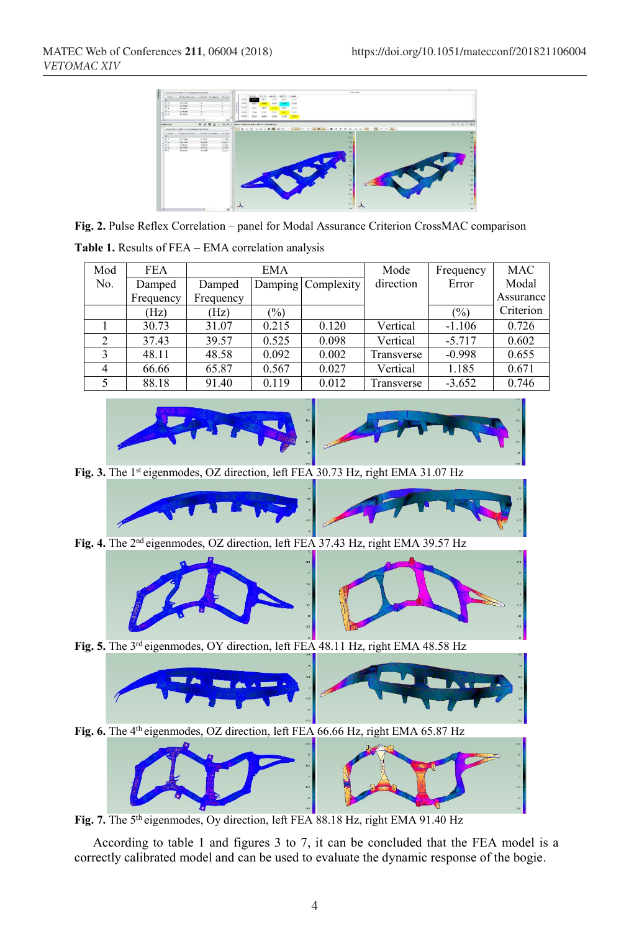

**Fig. 2.** Pulse Reflex Correlation – panel for Modal Assurance Criterion CrossMAC comparison **Table 1.** Results of FEA – EMA correlation analysis

| Mod | <b>FEA</b> | <b>EMA</b> |       | Mode               | Frequency  | MAC      |           |
|-----|------------|------------|-------|--------------------|------------|----------|-----------|
| No. | Damped     | Damped     |       | Damping Complexity | direction  | Error    | Modal     |
|     | Frequency  | Frequency  |       |                    |            |          | Assurance |
|     | Hz)        | Hz)        | (%)   |                    |            | (%)      | Criterion |
|     | 30.73      | 31.07      | 0.215 | 0.120              | Vertical   | $-1.106$ | 0.726     |
| 2   | 37.43      | 39.57      | 0.525 | 0.098              | Vertical   | $-5.717$ | 0.602     |
| 3   | 48.11      | 48.58      | 0.092 | 0.002              | Transverse | $-0.998$ | 0.655     |
| 4   | 66.66      | 65.87      | 0.567 | 0.027              | Vertical   | 1.185    | 0.671     |
|     | 88.18      | 91.40      | 0.119 | 0.012              | Transverse | $-3.652$ | 0.746     |



**Fig. 4.** The 2nd eigenmodes, OZ direction, left FEA 37.43 Hz, right EMA 39.57 Hz



**Fig. 5.** The 3rd eigenmodes, OY direction, left FEA 48.11 Hz, right EMA 48.58 Hz





Fig. 7. The 5<sup>th</sup> eigenmodes, Oy direction, left FEA 88.18 Hz, right EMA 91.40 Hz

According to table 1 and figures 3 to 7, it can be concluded that the FEA model is a correctly calibrated model and can be used to evaluate the dynamic response of the bogie.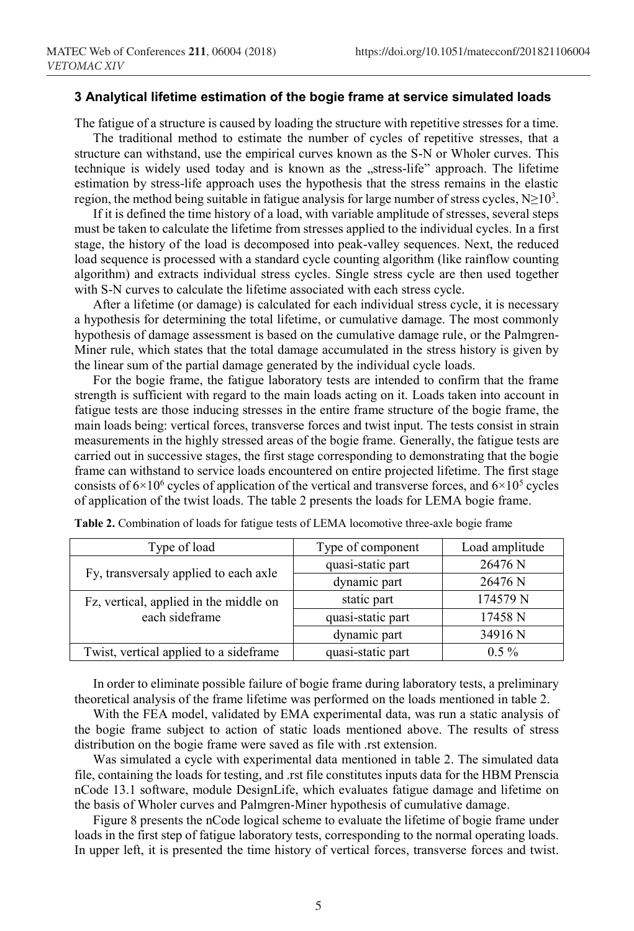#### **3 Analytical lifetime estimation of the bogie frame at service simulated loads**

The fatigue of a structure is caused by loading the structure with repetitive stresses for a time.

The traditional method to estimate the number of cycles of repetitive stresses, that a structure can withstand, use the empirical curves known as the S-N or Wholer curves. This technique is widely used today and is known as the "stress-life" approach. The lifetime estimation by stress-life approach uses the hypothesis that the stress remains in the elastic region, the method being suitable in fatigue analysis for large number of stress cycles,  $N \geq 10^3$ .

If it is defined the time history of a load, with variable amplitude of stresses, several steps must be taken to calculate the lifetime from stresses applied to the individual cycles. In a first stage, the history of the load is decomposed into peak-valley sequences. Next, the reduced load sequence is processed with a standard cycle counting algorithm (like rainflow counting algorithm) and extracts individual stress cycles. Single stress cycle are then used together with S-N curves to calculate the lifetime associated with each stress cycle.

After a lifetime (or damage) is calculated for each individual stress cycle, it is necessary a hypothesis for determining the total lifetime, or cumulative damage. The most commonly hypothesis of damage assessment is based on the cumulative damage rule, or the Palmgren-Miner rule, which states that the total damage accumulated in the stress history is given by the linear sum of the partial damage generated by the individual cycle loads.

For the bogie frame, the fatigue laboratory tests are intended to confirm that the frame strength is sufficient with regard to the main loads acting on it. Loads taken into account in fatigue tests are those inducing stresses in the entire frame structure of the bogie frame, the main loads being: vertical forces, transverse forces and twist input. The tests consist in strain measurements in the highly stressed areas of the bogie frame. Generally, the fatigue tests are carried out in successive stages, the first stage corresponding to demonstrating that the bogie frame can withstand to service loads encountered on entire projected lifetime. The first stage consists of  $6 \times 10^6$  cycles of application of the vertical and transverse forces, and  $6 \times 10^5$  cycles of application of the twist loads. The table 2 presents the loads for LEMA bogie frame.

| Type of load                           | Type of component | Load amplitude     |
|----------------------------------------|-------------------|--------------------|
| Fy, transversaly applied to each axle  | quasi-static part | 26476 N            |
|                                        | dynamic part      | 26476 N            |
| Fz, vertical, applied in the middle on | static part       | 174579 N           |
| each sideframe                         | quasi-static part | 17458 N            |
|                                        | dynamic part      | 34916 <sub>N</sub> |
| Twist, vertical applied to a sideframe | quasi-static part | $0.5\%$            |

**Table 2.** Combination of loads for fatigue tests of LEMA locomotive three-axle bogie frame

In order to eliminate possible failure of bogie frame during laboratory tests, a preliminary theoretical analysis of the frame lifetime was performed on the loads mentioned in table 2.

With the FEA model, validated by EMA experimental data, was run a static analysis of the bogie frame subject to action of static loads mentioned above. The results of stress distribution on the bogie frame were saved as file with .rst extension.

Was simulated a cycle with experimental data mentioned in table 2. The simulated data file, containing the loads for testing, and .rst file constitutes inputs data for the HBM Prenscia nCode 13.1 software, module DesignLife, which evaluates fatigue damage and lifetime on the basis of Wholer curves and Palmgren-Miner hypothesis of cumulative damage.

Figure 8 presents the nCode logical scheme to evaluate the lifetime of bogie frame under loads in the first step of fatigue laboratory tests, corresponding to the normal operating loads. In upper left, it is presented the time history of vertical forces, transverse forces and twist.